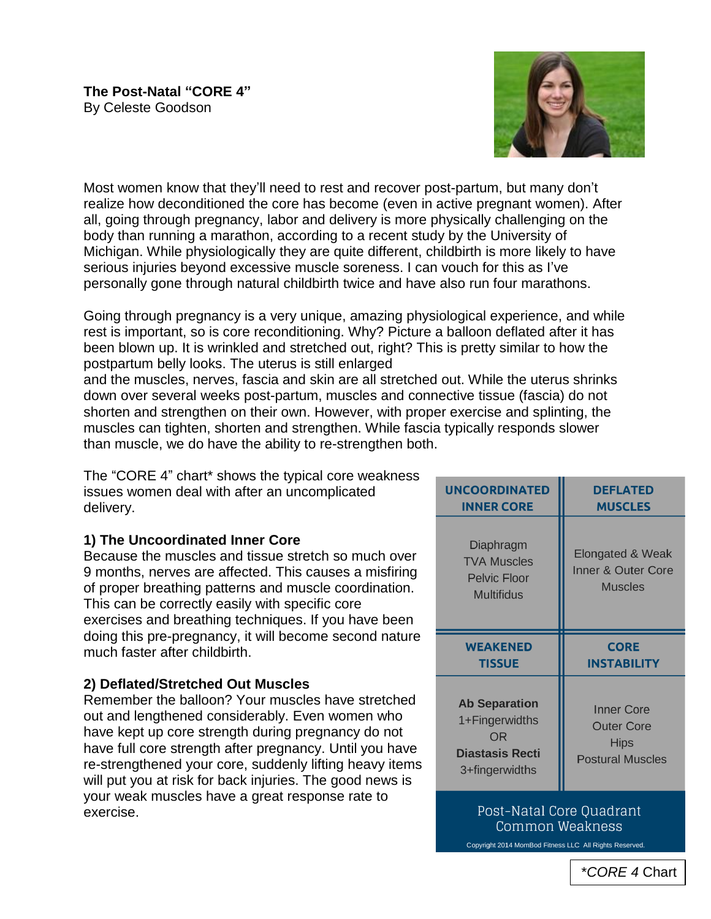

Most women know that they'll need to rest and recover post-partum, but many don't realize how deconditioned the core has become (even in active pregnant women). After all, going through pregnancy, labor and delivery is more physically challenging on the body than running a marathon, according to a recent study by the University of Michigan. While physiologically they are quite different, childbirth is more likely to have serious injuries beyond excessive muscle soreness. I can vouch for this as I've personally gone through natural childbirth twice and have also run four marathons.

Going through pregnancy is a very unique, amazing physiological experience, and while rest is important, so is core reconditioning. Why? Picture a balloon deflated after it has been blown up. It is wrinkled and stretched out, right? This is pretty similar to how the postpartum belly looks. The uterus is still enlarged

and the muscles, nerves, fascia and skin are all stretched out. While the uterus shrinks down over several weeks post-partum, muscles and connective tissue (fascia) do not shorten and strengthen on their own. However, with proper exercise and splinting, the muscles can tighten, shorten and strengthen. While fascia typically responds slower than muscle, we do have the ability to re-strengthen both.

The "CORE 4" chart\* shows the typical core weakness issues women deal with after an uncomplicated delivery.

# **1) The Uncoordinated Inner Core**

Because the muscles and tissue stretch so much over 9 months, nerves are affected. This causes a misfiring of proper breathing patterns and muscle coordination. This can be correctly easily with specific core exercises and breathing techniques. If you have been doing this pre-pregnancy, it will become second nature much faster after childbirth.

## **2) Deflated/Stretched Out Muscles**

Remember the balloon? Your muscles have stretched out and lengthened considerably. Even women who have kept up core strength during pregnancy do not have full core strength after pregnancy. Until you have re-strengthened your core, suddenly lifting heavy items will put you at risk for back injuries. The good news is your weak muscles have a great response rate to exercise.

| <b>UNCOORDINATED</b>                                                        | <b>DEFLATED</b>                                          |
|-----------------------------------------------------------------------------|----------------------------------------------------------|
| <b>INNER CORE</b>                                                           | <b>MUSCLES</b>                                           |
| Diaphragm<br><b>TVA Muscles</b><br><b>Pelvic Floor</b><br><b>Multifidus</b> | Elongated & Weak<br>Inner & Outer Core<br><b>Muscles</b> |
|                                                                             |                                                          |
| <b>WEAKENED</b>                                                             | <b>CORE</b>                                              |
| TISSUE                                                                      | <b>INSTABILITY</b>                                       |

## Post-Natal Core Ouadrant Common Weakness

Copyright 2014 MomBod Fitness LLC All Rights Reserved.

\**CORE 4* Chart